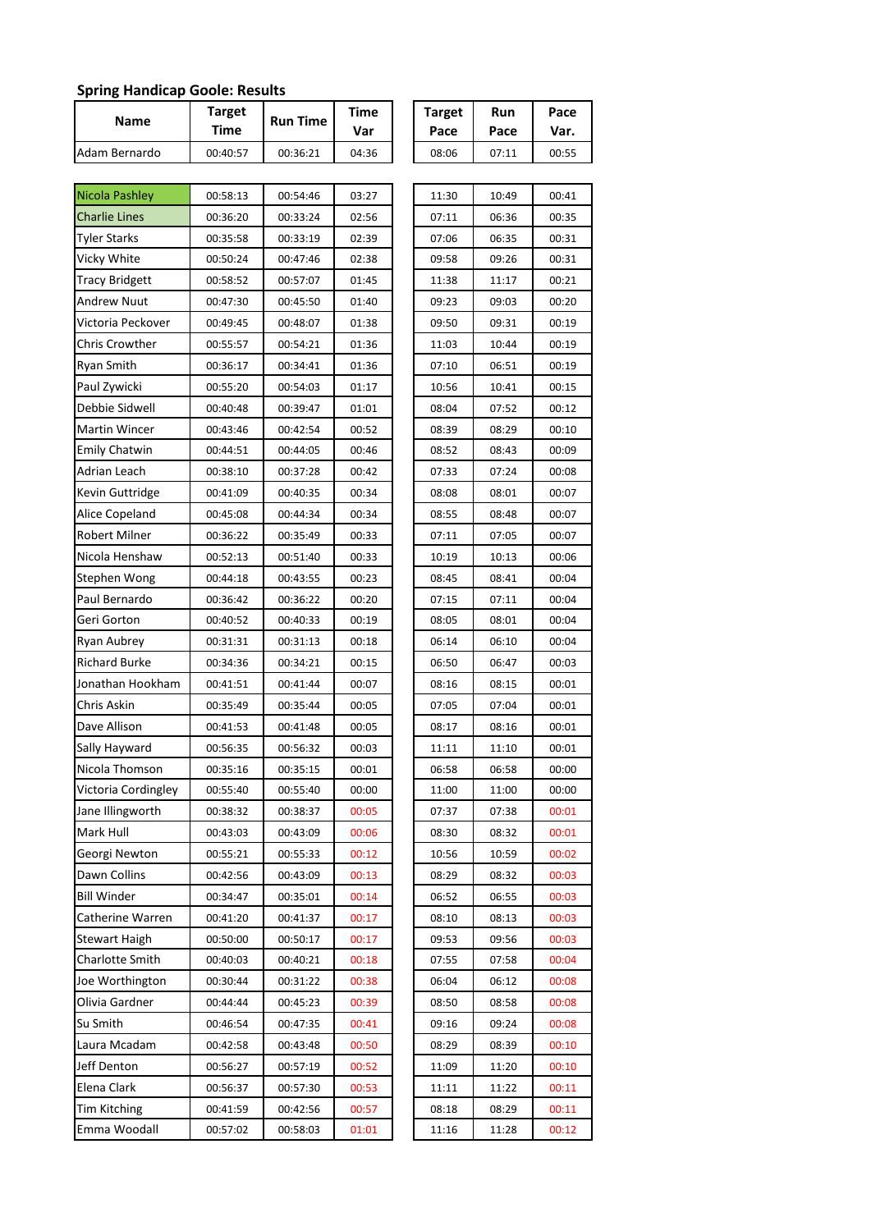## **Spring Handicap Goole: Results**

| <b>Name</b>   | Target<br>Time | <b>Run Time</b> | <b>Time</b><br>Var | <b>Target</b><br>Pace | Run<br>Pace | Pace<br>Var. |
|---------------|----------------|-----------------|--------------------|-----------------------|-------------|--------------|
| Adam Bernardo | 00:40:57       | 00:36:21        | 04:36              | 08:06                 | 07:11       | 00:55        |

| Target | Run   | Pace  |  |  |
|--------|-------|-------|--|--|
| Pace   | Pace  | Var.  |  |  |
| 08:06  | 07:11 | 00:55 |  |  |

| Nicola Pashley        | 00:58:13 | 00:54:46 | 03:27 | 11:30 | 10:49 | 00:41 |
|-----------------------|----------|----------|-------|-------|-------|-------|
| <b>Charlie Lines</b>  | 00:36:20 | 00:33:24 | 02:56 | 07:11 | 06:36 | 00:35 |
| <b>Tyler Starks</b>   | 00:35:58 | 00:33:19 | 02:39 | 07:06 | 06:35 | 00:31 |
| Vicky White           | 00:50:24 | 00:47:46 | 02:38 | 09:58 | 09:26 | 00:31 |
| <b>Tracy Bridgett</b> | 00:58:52 | 00:57:07 | 01:45 | 11:38 | 11:17 | 00:21 |
| Andrew Nuut           | 00:47:30 | 00:45:50 | 01:40 | 09:23 | 09:03 | 00:20 |
| Victoria Peckover     | 00:49:45 | 00:48:07 | 01:38 | 09:50 | 09:31 | 00:19 |
| <b>Chris Crowther</b> | 00:55:57 | 00:54:21 | 01:36 | 11:03 | 10:44 | 00:19 |
| Ryan Smith            | 00:36:17 | 00:34:41 | 01:36 | 07:10 | 06:51 | 00:19 |
| Paul Zywicki          | 00:55:20 | 00:54:03 | 01:17 | 10:56 | 10:41 | 00:15 |
| Debbie Sidwell        | 00:40:48 | 00:39:47 | 01:01 | 08:04 | 07:52 | 00:12 |
| <b>Martin Wincer</b>  | 00:43:46 | 00:42:54 | 00:52 | 08:39 | 08:29 | 00:10 |
| <b>Emily Chatwin</b>  | 00:44:51 | 00:44:05 | 00:46 | 08:52 | 08:43 | 00:09 |
| Adrian Leach          | 00:38:10 | 00:37:28 | 00:42 | 07:33 | 07:24 | 00:08 |
| Kevin Guttridge       | 00:41:09 | 00:40:35 | 00:34 | 08:08 | 08:01 | 00:07 |
| Alice Copeland        | 00:45:08 | 00:44:34 | 00:34 | 08:55 | 08:48 | 00:07 |
| <b>Robert Milner</b>  | 00:36:22 | 00:35:49 | 00:33 | 07:11 | 07:05 | 00:07 |
| Nicola Henshaw        | 00:52:13 | 00:51:40 | 00:33 | 10:19 | 10:13 | 00:06 |
| Stephen Wong          | 00:44:18 | 00:43:55 | 00:23 | 08:45 | 08:41 | 00:04 |
| Paul Bernardo         | 00:36:42 | 00:36:22 | 00:20 | 07:15 | 07:11 | 00:04 |
| Geri Gorton           | 00:40:52 | 00:40:33 | 00:19 | 08:05 | 08:01 | 00:04 |
| Ryan Aubrey           | 00:31:31 | 00:31:13 | 00:18 | 06:14 | 06:10 | 00:04 |
| <b>Richard Burke</b>  | 00:34:36 | 00:34:21 | 00:15 | 06:50 | 06:47 | 00:03 |
| Jonathan Hookham      | 00:41:51 | 00:41:44 | 00:07 | 08:16 | 08:15 | 00:01 |
| Chris Askin           | 00:35:49 | 00:35:44 | 00:05 | 07:05 | 07:04 | 00:01 |
| Dave Allison          | 00:41:53 | 00:41:48 | 00:05 | 08:17 | 08:16 | 00:01 |
| Sally Hayward         | 00:56:35 | 00:56:32 | 00:03 | 11:11 | 11:10 | 00:01 |
| Nicola Thomson        | 00:35:16 | 00:35:15 | 00:01 | 06:58 | 06:58 | 00:00 |
| Victoria Cordingley   | 00:55:40 | 00:55:40 | 00:00 | 11:00 | 11:00 | 00:00 |
| Jane Illingworth      | 00:38:32 | 00:38:37 | 00:05 | 07:37 | 07:38 | 00:01 |
| Mark Hull             | 00:43:03 | 00:43:09 | 00:06 | 08:30 | 08:32 | 00:01 |
| Georgi Newton         | 00:55:21 | 00:55:33 | 00:12 | 10:56 | 10:59 | 00:02 |
| Dawn Collins          | 00:42:56 | 00:43:09 | 00:13 | 08:29 | 08:32 | 00:03 |
| <b>Bill Winder</b>    | 00:34:47 | 00:35:01 | 00:14 | 06:52 | 06:55 | 00:03 |
| Catherine Warren      | 00:41:20 | 00:41:37 | 00:17 | 08:10 | 08:13 | 00:03 |
| <b>Stewart Haigh</b>  | 00:50:00 | 00:50:17 | 00:17 | 09:53 | 09:56 | 00:03 |
| Charlotte Smith       | 00:40:03 | 00:40:21 | 00:18 | 07:55 | 07:58 | 00:04 |
| Joe Worthington       | 00:30:44 | 00:31:22 | 00:38 | 06:04 | 06:12 | 00:08 |
| Olivia Gardner        | 00:44:44 | 00:45:23 | 00:39 | 08:50 | 08:58 | 00:08 |
| Su Smith              | 00:46:54 | 00:47:35 | 00:41 | 09:16 | 09:24 | 00:08 |
| Laura Mcadam          | 00:42:58 | 00:43:48 | 00:50 | 08:29 | 08:39 | 00:10 |
| Jeff Denton           | 00:56:27 | 00:57:19 | 00:52 | 11:09 | 11:20 | 00:10 |
| Elena Clark           | 00:56:37 | 00:57:30 | 00:53 | 11:11 | 11:22 | 00:11 |
| Tim Kitching          | 00:41:59 | 00:42:56 | 00:57 | 08:18 | 08:29 | 00:11 |
| Emma Woodall          | 00:57:02 | 00:58:03 | 01:01 | 11:16 | 11:28 | 00:12 |

| 11:30 | 10:49 | 00:41 |
|-------|-------|-------|
| 07:11 | 06:36 | 00:35 |
| 07:06 | 06:35 | 00:31 |
| 09:58 | 09:26 | 00:31 |
| 11:38 | 11:17 | 00:21 |
| 09:23 | 09:03 | 00:20 |
| 09:50 | 09:31 | 00:19 |
| 11:03 | 10:44 | 00:19 |
| 07:10 | 06:51 | 00:19 |
| 10:56 | 10:41 | 00:15 |
| 08:04 | 07:52 | 00:12 |
| 08:39 | 08:29 | 00:10 |
| 08:52 | 08:43 | 00:09 |
| 07:33 | 07:24 | 00:08 |
| 08:08 | 08:01 | 00:07 |
| 08:55 | 08:48 | 00:07 |
| 07:11 | 07:05 | 00:07 |
| 10:19 | 10:13 | 00:06 |
| 08:45 | 08:41 | 00:04 |
| 07:15 | 07:11 | 00:04 |
| 08:05 | 08:01 | 00:04 |
| 06:14 | 06:10 | 00:04 |
| 06:50 | 06:47 | 00:03 |
| 08:16 | 08:15 | 00:01 |
| 07:05 | 07:04 | 00:01 |
| 08:17 | 08:16 | 00:01 |
| 11:11 | 11:10 | 00:01 |
| 06:58 | 06:58 | 00:00 |
| 11:00 | 11:00 | 00:00 |
| 07:37 | 07:38 | 00:01 |
| 08:30 | 08:32 | 00:01 |
| 10:56 | 10:59 | 00:02 |
| 08:29 | 08:32 | 00:03 |
| 06:52 | 06:55 | 00:03 |
| 08:10 | 08:13 | 00:03 |
| 09:53 | 09:56 | 00:03 |
| 07:55 | 07:58 | 00:04 |
| 06:04 | 06:12 | 00:08 |
| 08:50 | 08:58 | 00:08 |
| 09:16 | 09:24 | 00:08 |
| 08:29 | 08:39 | 00:10 |
| 11:09 | 11:20 | 00:10 |
| 11:11 | 11:22 | 00:11 |
| 08:18 | 08:29 | 00:11 |
| 11:16 | 11:28 | 00:12 |